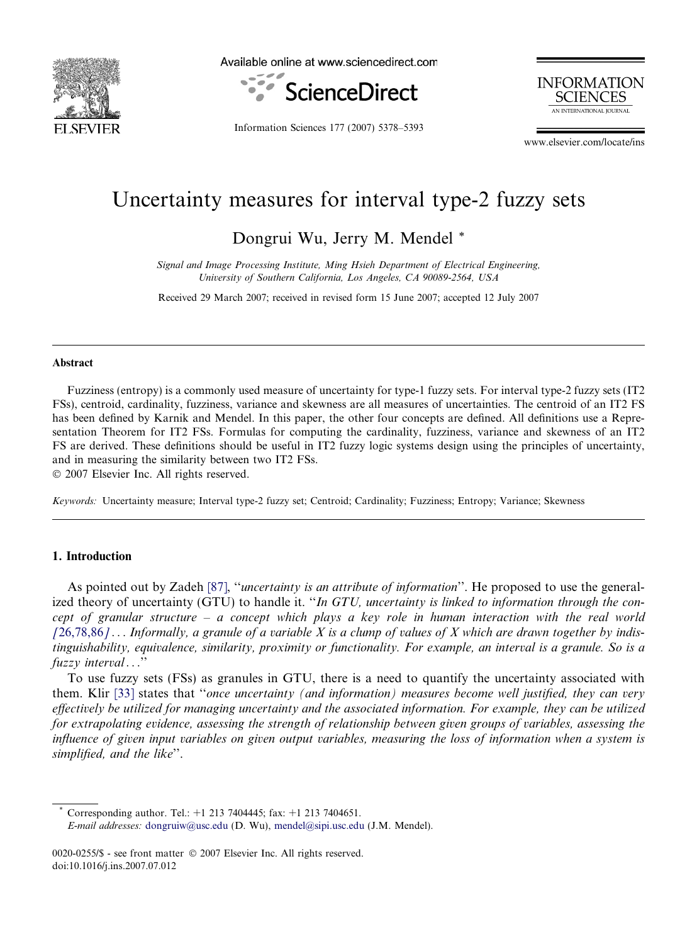<span id="page-0-0"></span>

Available online at www.sciencedirect.com



**INFORMATION SCIENCES** AN INTERNATIONAL IOURNAL

Information Sciences 177 (2007) 5378–5393

www.elsevier.com/locate/ins

# Uncertainty measures for interval type-2 fuzzy sets

Dongrui Wu, Jerry M. Mendel \*

Signal and Image Processing Institute, Ming Hsieh Department of Electrical Engineering, University of Southern California, Los Angeles, CA 90089-2564, USA

Received 29 March 2007; received in revised form 15 June 2007; accepted 12 July 2007

#### Abstract

Fuzziness (entropy) is a commonly used measure of uncertainty for type-1 fuzzy sets. For interval type-2 fuzzy sets (IT2 FSs), centroid, cardinality, fuzziness, variance and skewness are all measures of uncertainties. The centroid of an IT2 FS has been defined by Karnik and Mendel. In this paper, the other four concepts are defined. All definitions use a Representation Theorem for IT2 FSs. Formulas for computing the cardinality, fuzziness, variance and skewness of an IT2 FS are derived. These definitions should be useful in IT2 fuzzy logic systems design using the principles of uncertainty, and in measuring the similarity between two IT2 FSs.

© 2007 Elsevier Inc. All rights reserved.

Keywords: Uncertainty measure; Interval type-2 fuzzy set; Centroid; Cardinality; Fuzziness; Entropy; Variance; Skewness

#### 1. Introduction

As pointed out by Zadeh [\[87\],](#page-15-0) "*uncertainty is an attribute of information*". He proposed to use the generalized theory of uncertainty (GTU) to handle it. "In GTU, uncertainty is linked to information through the concept of granular structure – a concept which plays a key role in human interaction with the real world  $[26,78,86]$  $[26,78,86]$  $[26,78,86]$ ... Informally, a granule of a variable X is a clump of values of X which are drawn together by indistinguishability, equivalence, similarity, proximity or functionality. For example, an interval is a granule. So is a fuzzy interval...''

To use fuzzy sets (FSs) as granules in GTU, there is a need to quantify the uncertainty associated with them. Klir [\[33\]](#page-14-0) states that ''once uncertainty (and information) measures become well justified, they can very effectively be utilized for managing uncertainty and the associated information. For example, they can be utilized for extrapolating evidence, assessing the strength of relationship between given groups of variables, assessing the influence of given input variables on given output variables, measuring the loss of information when a system is simplified, and the like''.

Corresponding author. Tel.:  $+1$  213 7404445; fax:  $+1$  213 7404651.

E-mail addresses: [dongruiw@usc.edu](mailto:dongruiw@usc.edu) (D. Wu), [mendel@sipi.usc.edu](mailto:mendel@sipi.usc.edu) (J.M. Mendel).

<sup>0020-0255/\$ -</sup> see front matter © 2007 Elsevier Inc. All rights reserved. doi:10.1016/j.ins.2007.07.012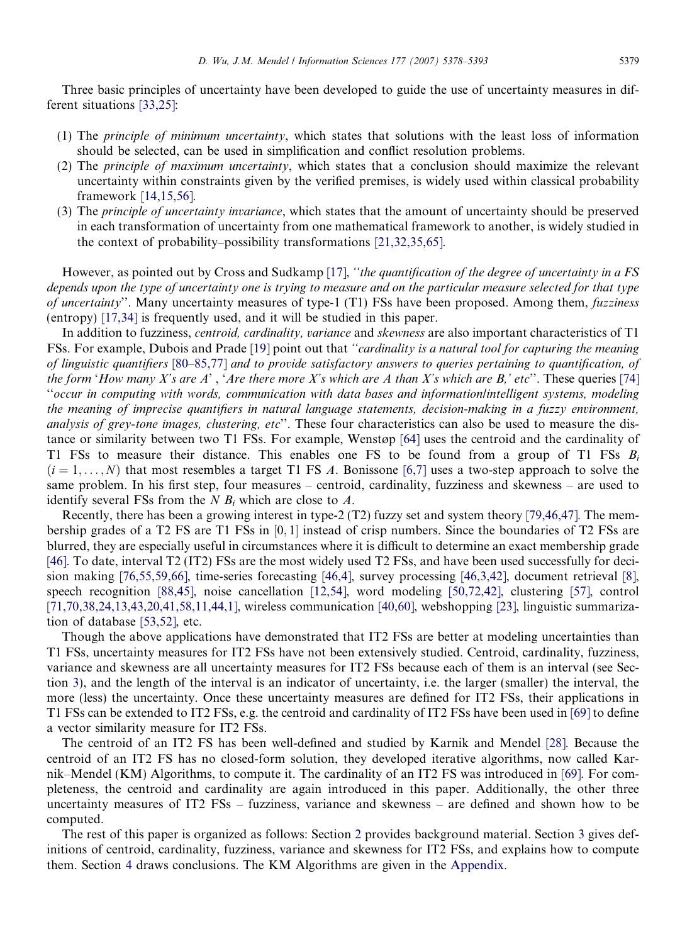Three basic principles of uncertainty have been developed to guide the use of uncertainty measures in different situations [\[33,25\]:](#page-14-0)

- (1) The principle of minimum uncertainty, which states that solutions with the least loss of information should be selected, can be used in simplification and conflict resolution problems.
- (2) The principle of maximum uncertainty, which states that a conclusion should maximize the relevant uncertainty within constraints given by the verified premises, is widely used within classical probability framework [\[14,15,56\].](#page-13-0)
- (3) The principle of uncertainty invariance, which states that the amount of uncertainty should be preserved in each transformation of uncertainty from one mathematical framework to another, is widely studied in the context of probability–possibility transformations [\[21,32,35,65\]](#page-14-0).

However, as pointed out by Cross and Sudkamp [\[17\],](#page-14-0) "the quantification of the degree of uncertainty in a FS depends upon the type of uncertainty one is trying to measure and on the particular measure selected for that type of uncertainty''. Many uncertainty measures of type-1  $(T1)$  FSs have been proposed. Among them, fuzziness (entropy) [\[17,34\]](#page-14-0) is frequently used, and it will be studied in this paper.

In addition to fuzziness, *centroid, cardinality, variance* and *skewness* are also important characteristics of T1 FSs. For example, Dubois and Prade [\[19\]](#page-14-0) point out that ''cardinality is a natural tool for capturing the meaning of linguistic quantifiers [\[80–85,77\]](#page-15-0) and to provide satisfactory answers to queries pertaining to quantification, of the form 'How many X's are A', 'Are there more X's which are A than X's which are B,' etc''. These queries [\[74\]](#page-15-0) ''occur in computing with words, communication with data bases and information/intelligent systems, modeling the meaning of imprecise quantifiers in natural language statements, decision-making in a fuzzy environment, analysis of grey-tone images, clustering, etc". These four characteristics can also be used to measure the distance or similarity between two T1 FSs. For example, Wenstøp [\[64\]](#page-15-0) uses the centroid and the cardinality of T1 FSs to measure their distance. This enables one FS to be found from a group of T1 FSs  $B_i$  $(i = 1, \ldots, N)$  that most resembles a target T1 FS A. Bonissone [\[6,7\]](#page-13-0) uses a two-step approach to solve the same problem. In his first step, four measures – centroid, cardinality, fuzziness and skewness – are used to identify several FSs from the  $N B_i$  which are close to  $A$ .

Recently, there has been a growing interest in type-2 (T2) fuzzy set and system theory [\[79,46,47\].](#page-15-0) The membership grades of a T2 FS are T1 FSs in  $[0,1]$  instead of crisp numbers. Since the boundaries of T2 FSs are blurred, they are especially useful in circumstances where it is difficult to determine an exact membership grade [\[46\]](#page-14-0). To date, interval T2 (IT2) FSs are the most widely used T2 FSs, and have been used successfully for decision making [\[76,55,59,66\]](#page-15-0), time-series forecasting [\[46,4\]](#page-14-0), survey processing [\[46,3,42\]](#page-14-0), document retrieval [\[8\]](#page-13-0), speech recognition [\[88,45\]](#page-15-0), noise cancellation [\[12,54\]](#page-13-0), word modeling [\[50,72,42\],](#page-14-0) clustering [\[57\]](#page-15-0), control [\[71,70,38,24,13,43,20,41,58,11,44,1\],](#page-15-0) wireless communication [\[40,60\],](#page-14-0) webshopping [\[23\]](#page-14-0), linguistic summarization of database [\[53,52\]](#page-14-0), etc.

Though the above applications have demonstrated that IT2 FSs are better at modeling uncertainties than T1 FSs, uncertainty measures for IT2 FSs have not been extensively studied. Centroid, cardinality, fuzziness, variance and skewness are all uncertainty measures for IT2 FSs because each of them is an interval (see Section [3](#page-3-0)), and the length of the interval is an indicator of uncertainty, i.e. the larger (smaller) the interval, the more (less) the uncertainty. Once these uncertainty measures are defined for IT2 FSs, their applications in T1 FSs can be extended to IT2 FSs, e.g. the centroid and cardinality of IT2 FSs have been used in [\[69\]](#page-15-0) to define a vector similarity measure for IT2 FSs.

The centroid of an IT2 FS has been well-defined and studied by Karnik and Mendel [\[28\].](#page-14-0) Because the centroid of an IT2 FS has no closed-form solution, they developed iterative algorithms, now called Karnik–Mendel (KM) Algorithms, to compute it. The cardinality of an IT2 FS was introduced in [\[69\]](#page-15-0). For completeness, the centroid and cardinality are again introduced in this paper. Additionally, the other three uncertainty measures of IT2 FSs – fuzziness, variance and skewness – are defined and shown how to be computed.

The rest of this paper is organized as follows: Section [2](#page-2-0) provides background material. Section [3](#page-3-0) gives definitions of centroid, cardinality, fuzziness, variance and skewness for IT2 FSs, and explains how to compute them. Section [4](#page-12-0) draws conclusions. The KM Algorithms are given in the Appendix.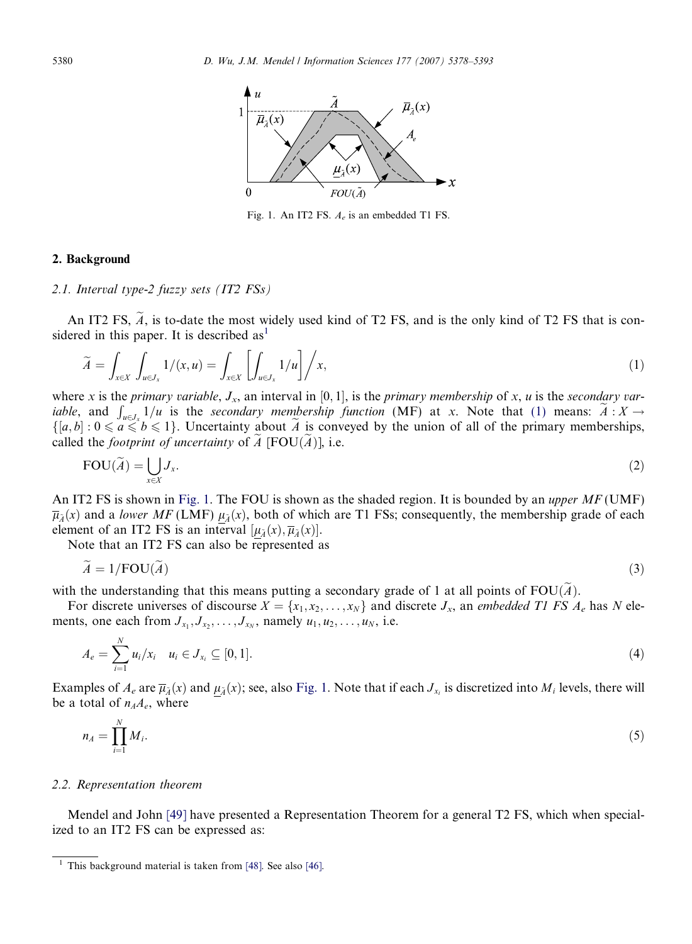<span id="page-2-0"></span>

Fig. 1. An IT2 FS.  $A_e$  is an embedded T1 FS.

#### 2. Background

#### 2.1. Interval type-2 fuzzy sets (IT2 FSs)

An IT2 FS,  $\widetilde{A}$ , is to-date the most widely used kind of T2 FS, and is the only kind of T2 FS that is considered in this paper. It is described  $as<sup>1</sup>$ 

$$
\widetilde{A} = \int_{x \in X} \int_{u \in J_x} 1/(x, u) = \int_{x \in X} \left[ \int_{u \in J_x} 1/u \right] / x,
$$
\n(1)

where x is the *primary variable*,  $J_x$ , an interval in [0, 1], is the *primary membership* of x, u is the secondary variable, and  $\int_{u \in J_x} 1/u$  is the secondary membership function (MF) at x. Note that (1) means:  $\tilde{A}: X \to$  $\{[a,b]: 0 \le a \le b \le 1\}$ . Uncertainty about  $\widetilde{A}$  is conveyed by the union of all of the primary memberships, called the *footprint of uncertainty* of  $\widetilde{A}$  [FOU( $\widetilde{A}$ )], i.e.

$$
FOU(\widetilde{A}) = \bigcup_{x \in X} J_x.
$$
 (2)

An IT2 FS is shown in Fig. 1. The FOU is shown as the shaded region. It is bounded by an *upper MF* (UMF)  $\overline{\mu}_{\lambda}(x)$  and a lower MF (LMF)  $\mu_{\lambda}(x)$ , both of which are T1 FSs; consequently, the membership grade of each element of an IT2 FS is an interval  $[\mu_{\tilde{A}}(x), \overline{\mu}_{\tilde{A}}(x)].$ 

Note that an IT2 FS can also be represented as

$$
A = 1/\text{FOU}(A) \tag{3}
$$

with the understanding that this means putting a secondary grade of 1 at all points of  $FOU(\widetilde{A})$ .

For discrete universes of discourse  $X = \{x_1, x_2, \dots, x_N\}$  and discrete  $J_x$ , an embedded T1 FS  $A_e$  has N elements, one each from  $J_{x_1}, J_{x_2}, \ldots, J_{x_N}$ , namely  $u_1, u_2, \ldots, u_N$ , i.e.

$$
A_e = \sum_{i=1}^{N} u_i / x_i \quad u_i \in J_{x_i} \subseteq [0,1].
$$
 (4)

Examples of  $A_e$  are  $\overline{\mu}_{\lambda}(x)$  and  $\mu_{\lambda}(x)$ ; see, also Fig. 1. Note that if each  $J_{x_i}$  is discretized into  $M_i$  levels, there will be a total of  $n_A A_e$ , where

$$
n_A = \prod_{i=1}^N M_i. \tag{5}
$$

#### 2.2. Representation theorem

Mendel and John [\[49\]](#page-14-0) have presented a Representation Theorem for a general T2 FS, which when specialized to an IT2 FS can be expressed as:

 $1$  This background material is taken from [\[48\].](#page-14-0) See also [\[46\]](#page-14-0).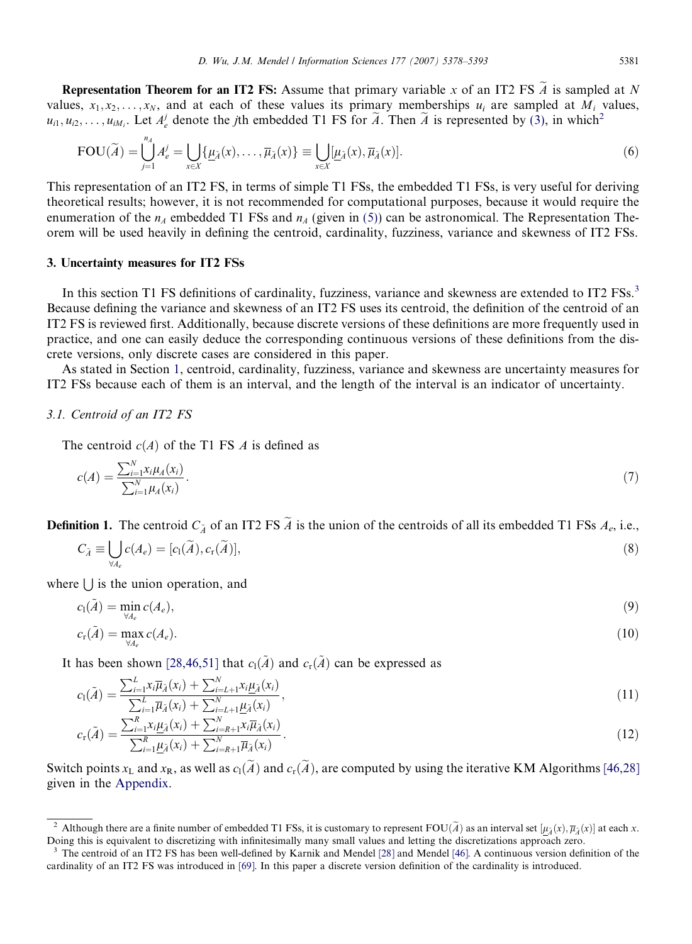<span id="page-3-0"></span>**Representation Theorem for an IT2 FS:** Assume that primary variable x of an IT2 FS  $\widetilde{A}$  is sampled at N values,  $x_1, x_2, \ldots, x_N$ , and at each of these values its primary memberships  $u_i$  are sampled at  $M_i$  values,  $u_{i1}, u_{i2}, \ldots, u_{iM_i}$ . Let  $A_e^j$  denote the *j*th embedded T1 FS for  $\widetilde{A}$ . Then  $\widetilde{A}$  is represented by [\(3\),](#page-2-0) in which<sup>2</sup>

$$
\text{FOU}(\widetilde{A}) = \bigcup_{j=1}^{n_A} A_e^j = \bigcup_{x \in X} \{ \underline{\mu}_{\widetilde{A}}(x), \dots, \overline{\mu}_{\widetilde{A}}(x) \} \equiv \bigcup_{x \in X} [\underline{\mu}_{\widetilde{A}}(x), \overline{\mu}_{\widetilde{A}}(x)].
$$
\n(6)

This representation of an IT2 FS, in terms of simple T1 FSs, the embedded T1 FSs, is very useful for deriving theoretical results; however, it is not recommended for computational purposes, because it would require the enumeration of the  $n_A$  embedded T1 FSs and  $n_A$  (given in [\(5\)\)](#page-2-0) can be astronomical. The Representation Theorem will be used heavily in defining the centroid, cardinality, fuzziness, variance and skewness of IT2 FSs.

#### 3. Uncertainty measures for IT2 FSs

In this section T1 FS definitions of cardinality, fuzziness, variance and skewness are extended to IT2 FSs.<sup>3</sup> Because defining the variance and skewness of an IT2 FS uses its centroid, the definition of the centroid of an IT2 FS is reviewed first. Additionally, because discrete versions of these definitions are more frequently used in practice, and one can easily deduce the corresponding continuous versions of these definitions from the discrete versions, only discrete cases are considered in this paper.

As stated in Section [1,](#page-0-0) centroid, cardinality, fuzziness, variance and skewness are uncertainty measures for IT2 FSs because each of them is an interval, and the length of the interval is an indicator of uncertainty.

#### 3.1. Centroid of an IT2 FS

The centroid  $c(A)$  of the T1 FS A is defined as

$$
c(A) = \frac{\sum_{i=1}^{N} x_i \mu_A(x_i)}{\sum_{i=1}^{N} \mu_A(x_i)}.
$$
\n(7)

**Definition 1.** The centroid  $C_{\tilde{A}}$  of an IT2 FS  $\tilde{A}$  is the union of the centroids of all its embedded T1 FSs  $A_e$ , i.e.,

$$
C_{\tilde{A}} \equiv \bigcup_{\forall A_e} c(A_e) = [c_1(\tilde{A}), c_r(\tilde{A})], \tag{8}
$$

where  $\vert \ \vert$  is the union operation, and

$$
c_1(\tilde{A}) = \min_{\forall A_e} c(A_e), \tag{9}
$$

$$
c_{\mathbf{r}}(\tilde{A}) = \max_{\forall A_c} c(A_e). \tag{10}
$$

It has been shown [\[28,46,51\]](#page-14-0) that  $c_1(\tilde{A})$  and  $c_r(\tilde{A})$  can be expressed as

$$
c_1(\tilde{A}) = \frac{\sum_{i=1}^{L} x_i \overline{\mu}_{\tilde{A}}(x_i) + \sum_{i=L+1}^{N} x_i \underline{\mu}_{\tilde{A}}(x_i)}{\sum_{i=1}^{L} \overline{\mu}_{\tilde{A}}(x_i) + \sum_{i=L+1}^{N} \underline{\mu}_{\tilde{A}}(x_i)},
$$
\n(11)

$$
c_{\rm r}(\tilde{A}) = \frac{\sum_{i=1}^{R} x_{i} \mu_{\tilde{A}}(x_{i}) + \sum_{i=R+1}^{N} x_{i} \overline{\mu}_{\tilde{A}}(x_{i})}{\sum_{i=1}^{R} \mu_{\tilde{A}}(x_{i}) + \sum_{i=R+1}^{N} \overline{\mu}_{\tilde{A}}(x_{i})}.
$$
(12)

Switch points  $x_L$  and  $x_R$ , as well as  $c_1(\tilde{A})$  and  $c_r(\tilde{A})$ , are computed by using the iterative KM Algorithms [\[46,28\]](#page-14-0) given in the Appendix.

<sup>&</sup>lt;sup>2</sup> Although there are a finite number of embedded T1 FSs, it is customary to represent FOU( $\widetilde{A}$ ) as an interval set  $[\underline{\mu}_{\widetilde{A}}(x), \overline{\mu}_{\widetilde{A}}(x)]$  at each x. Doing this is equivalent to discretizing with infinitesimally many small values and letting the discretizations approach zero.

<sup>&</sup>lt;sup>3</sup> The centroid of an IT2 FS has been well-defined by Karnik and Mendel [\[28\]](#page-14-0) and Mendel [\[46\]](#page-14-0). A continuous version definition of the cardinality of an IT2 FS was introduced in [\[69\]](#page-15-0). In this paper a discrete version definition of the cardinality is introduced.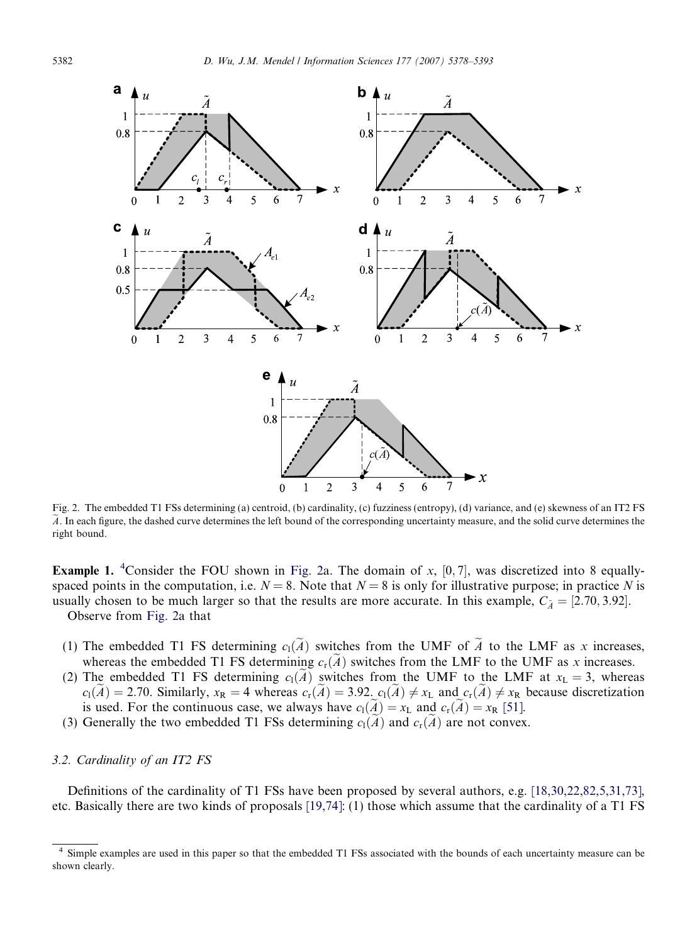<span id="page-4-0"></span>

Fig. 2. The embedded T1 FSs determining (a) centroid, (b) cardinality, (c) fuzziness (entropy), (d) variance, and (e) skewness of an IT2 FS  $\tilde{A}$ . In each figure, the dashed curve determines the left bound of the corresponding uncertainty measure, and the solid curve determines the right bound.

**Example 1.** <sup>4</sup>Consider the FOU shown in Fig. 2a. The domain of x,  $[0, 7]$ , was discretized into 8 equallyspaced points in the computation, i.e.  $N = 8$ . Note that  $N = 8$  is only for illustrative purpose; in practice N is usually chosen to be much larger so that the results are more accurate. In this example,  $C_{\tilde{A}} = [2.70, 3.92]$ . Observe from Fig. 2a that

(1) The embedded T1 FS determining  $c_1(\tilde{A})$  switches from the UMF of  $\tilde{A}$  to the LMF as x increases, whereas the embedded T1 FS determining  $c_r(\tilde{A})$  switches from the LMF to the UMF as x increases.

- (2) The embedded T1 FS determining  $c_1(\tilde{A})$  switches from the UMF to the LMF at  $x_L = 3$ , whereas  $c_1(\tilde{A}) = 2.70$ . Similarly,  $x_R = 4$  whereas  $c_r(\tilde{A}) = 3.92$ .  $c_1(\tilde{A}) \neq x_L$  and  $c_r(\tilde{A}) \neq x_R$  because discretization is used. For the continuous case, we always have  $c_1(\overline{A}) = x_L$  and  $c_r(A) = x_R$  [\[51\]](#page-14-0).
- (3) Generally the two embedded T1 FSs determining  $c_1(\overline{A})$  and  $c_r(\overline{A})$  are not convex.

#### 3.2. Cardinality of an IT2 FS

Definitions of the cardinality of T1 FSs have been proposed by several authors, e.g. [\[18,30,22,82,5,31,73\],](#page-14-0) etc. Basically there are two kinds of proposals [\[19,74\]](#page-14-0): (1) those which assume that the cardinality of a T1 FS

Simple examples are used in this paper so that the embedded T1 FSs associated with the bounds of each uncertainty measure can be shown clearly.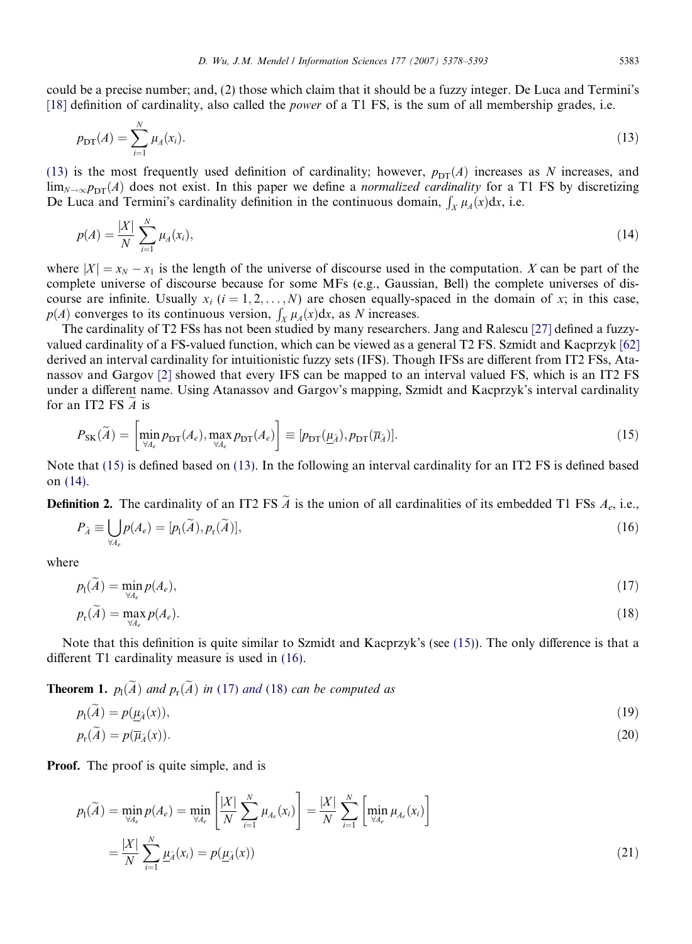could be a precise number; and, (2) those which claim that it should be a fuzzy integer. De Luca and Termini's [\[18\]](#page-14-0) definition of cardinality, also called the *power* of a T1 FS, is the sum of all membership grades, i.e.

$$
p_{\text{DT}}(A) = \sum_{i=1}^{N} \mu_A(x_i). \tag{13}
$$

(13) is the most frequently used definition of cardinality; however,  $p_{DT}(A)$  increases as N increases, and  $\lim_{N\to\infty}p_{DT}(A)$  does not exist. In this paper we define a *normalized cardinality* for a T1 FS by discretizing De Luca and Termini's cardinality definition in the continuous domain,  $\int_X \mu_A(x) dx$ , i.e.

$$
p(A) = \frac{|X|}{N} \sum_{i=1}^{N} \mu_A(x_i),
$$
\n(14)

where  $|X| = x_N - x_1$  is the length of the universe of discourse used in the computation. X can be part of the complete universe of discourse because for some MFs (e.g., Gaussian, Bell) the complete universes of discourse are infinite. Usually  $x_i$   $(i = 1, 2, ..., N)$  are chosen equally-spaced in the domain of x; in this case,  $p(A)$  converges to its continuous version,  $\int_X \mu_A(x) dx$ , as N increases.

The cardinality of T2 FSs has not been studied by many researchers. Jang and Ralescu [\[27\]](#page-14-0) defined a fuzzyvalued cardinality of a FS-valued function, which can be viewed as a general T2 FS. Szmidt and Kacprzyk [\[62\]](#page-15-0) derived an interval cardinality for intuitionistic fuzzy sets (IFS). Though IFSs are different from IT2 FSs, Atanassov and Gargov [\[2\]](#page-13-0) showed that every IFS can be mapped to an interval valued FS, which is an IT2 FS under a different name. Using Atanassov and Gargov's mapping, Szmidt and Kacprzyk's interval cardinality for an IT2 FS  $\boldsymbol{A}$  is

$$
P_{\rm SK}(\widetilde{A}) = \left[ \min_{\forall A_e} p_{\rm DT}(A_e), \max_{\forall A_e} p_{\rm DT}(A_e) \right] \equiv [p_{\rm DT}(\underline{\mu}_{\widetilde{A}}), p_{\rm DT}(\overline{\mu}_{\widetilde{A}})]. \tag{15}
$$

Note that (15) is defined based on (13). In the following an interval cardinality for an IT2 FS is defined based on (14).

**Definition 2.** The cardinality of an IT2 FS  $\tilde{A}$  is the union of all cardinalities of its embedded T1 FSs  $A_e$ , i.e.,

$$
P_{\tilde{A}} \equiv \bigcup_{\forall A_e} p(A_e) = [p_1(\tilde{A}), p_r(\tilde{A})],\tag{16}
$$

where

$$
p_1(\widetilde{A}) = \min_{\forall A_e} p(A_e),\tag{17}
$$

$$
p_{\mathbf{r}}(\widetilde{A}) = \max_{\forall A_e} p(A_e). \tag{18}
$$

Note that this definition is quite similar to Szmidt and Kacprzyk's (see (15)). The only difference is that a different T1 cardinality measure is used in (16).

**Theorem 1.**  $p_1(A)$  and  $p_r(A)$  in (17) and (18) can be computed as

$$
p_1(\widetilde{A}) = p(\underline{\mu}_{\widetilde{A}}(x)),
$$
  
\n
$$
p_r(\widetilde{A}) = p(\overline{\mu}_{\widetilde{A}}(x)).
$$
\n(19)

Proof. The proof is quite simple, and is

$$
p_1(\widetilde{A}) = \min_{\forall A_e} p(A_e) = \min_{\forall A_e} \left[ \frac{|X|}{N} \sum_{i=1}^N \mu_{A_e}(x_i) \right] = \frac{|X|}{N} \sum_{i=1}^N \left[ \min_{\forall A_e} \mu_{A_e}(x_i) \right]
$$

$$
= \frac{|X|}{N} \sum_{i=1}^N \underline{\mu}_{\widetilde{A}}(x_i) = p(\underline{\mu}_{\widetilde{A}}(x))
$$
(21)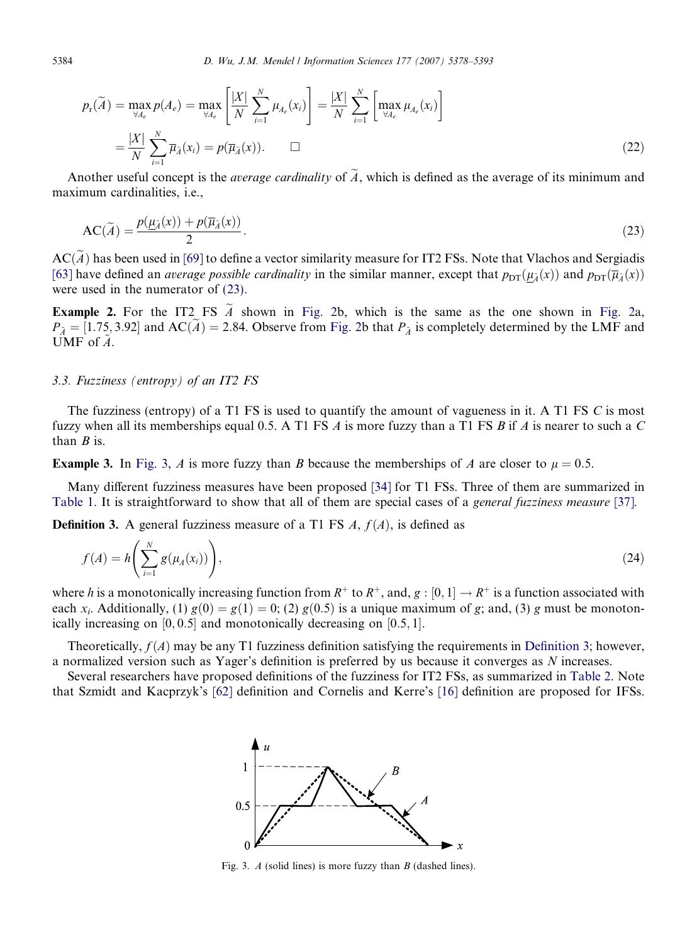<span id="page-6-0"></span>
$$
p_{\mathrm{r}}(\widetilde{A}) = \max_{\forall A_e} p(A_e) = \max_{\forall A_e} \left[ \frac{|X|}{N} \sum_{i=1}^N \mu_{A_e}(x_i) \right] = \frac{|X|}{N} \sum_{i=1}^N \left[ \max_{\forall A_e} \mu_{A_e}(x_i) \right]
$$

$$
= \frac{|X|}{N} \sum_{i=1}^N \overline{\mu}_{\widetilde{A}}(x_i) = p(\overline{\mu}_{\widetilde{A}}(x)). \qquad \Box
$$
(22)

Another useful concept is the *average cardinality* of  $\tilde{A}$ , which is defined as the average of its minimum and maximum cardinalities, i.e.,

$$
AC(\widetilde{A}) = \frac{p(\underline{\mu}_{\widetilde{A}}(x)) + p(\overline{\mu}_{\widetilde{A}}(x))}{2}.
$$
\n(23)

 $AC(\tilde{A})$  has been used in [\[69\]](#page-15-0) to define a vector similarity measure for IT2 FSs. Note that Vlachos and Sergiadis [\[63\]](#page-15-0) have defined an *average possible cardinality* in the similar manner, except that  $p_{\text{DT}}(\mu_{\tilde{A}}(x))$  and  $p_{\text{DT}}(\overline{\mu}_{\tilde{A}}(x))$ were used in the numerator of (23).

**Example 2.** For the IT2 FS  $\tilde{A}$  shown in [Fig. 2](#page-4-0)b, which is the same as the one shown in [Fig. 2a](#page-4-0),  $P_{\tilde{A}} = [1.75, 3.92]$  and AC(*A*) = 2.84. Observe from [Fig. 2b](#page-4-0) that  $P_{\tilde{A}}$  is completely determined by the LMF and UMF of  $A$ .

#### 3.3. Fuzziness (entropy) of an IT2 FS

The fuzziness (entropy) of a T1 FS is used to quantify the amount of vagueness in it. A T1 FS C is most fuzzy when all its memberships equal 0.5. A T1 FS  $\vec{A}$  is more fuzzy than a T1 FS  $\vec{B}$  if  $\vec{A}$  is nearer to such a  $\vec{C}$ than  $B$  is.

**Example 3.** In Fig. 3, A is more fuzzy than B because the memberships of A are closer to  $\mu = 0.5$ .

Many different fuzziness measures have been proposed [\[34\]](#page-14-0) for T1 FSs. Three of them are summarized in [Table 1.](#page-7-0) It is straightforward to show that all of them are special cases of a general fuzziness measure [\[37\].](#page-14-0)

**Definition 3.** A general fuzziness measure of a T1 FS  $A$ ,  $f(A)$ , is defined as

$$
f(A) = h\left(\sum_{i=1}^{N} g(\mu_A(x_i))\right),\tag{24}
$$

where h is a monotonically increasing function from  $R^+$  to  $R^+$ , and,  $g:[0,1] \to R^+$  is a function associated with each  $x_i$ . Additionally, (1)  $g(0) = g(1) = 0$ ; (2)  $g(0.5)$  is a unique maximum of g; and, (3) g must be monotonically increasing on  $[0, 0.5]$  and monotonically decreasing on  $[0.5, 1]$ .

Theoretically,  $f(A)$  may be any T1 fuzziness definition satisfying the requirements in Definition 3; however, a normalized version such as Yager's definition is preferred by us because it converges as N increases.

Several researchers have proposed definitions of the fuzziness for IT2 FSs, as summarized in [Table 2.](#page-7-0) Note that Szmidt and Kacprzyk's [\[62\]](#page-15-0) definition and Cornelis and Kerre's [\[16\]](#page-13-0) definition are proposed for IFSs.



Fig. 3.  $\Lambda$  (solid lines) is more fuzzy than  $B$  (dashed lines).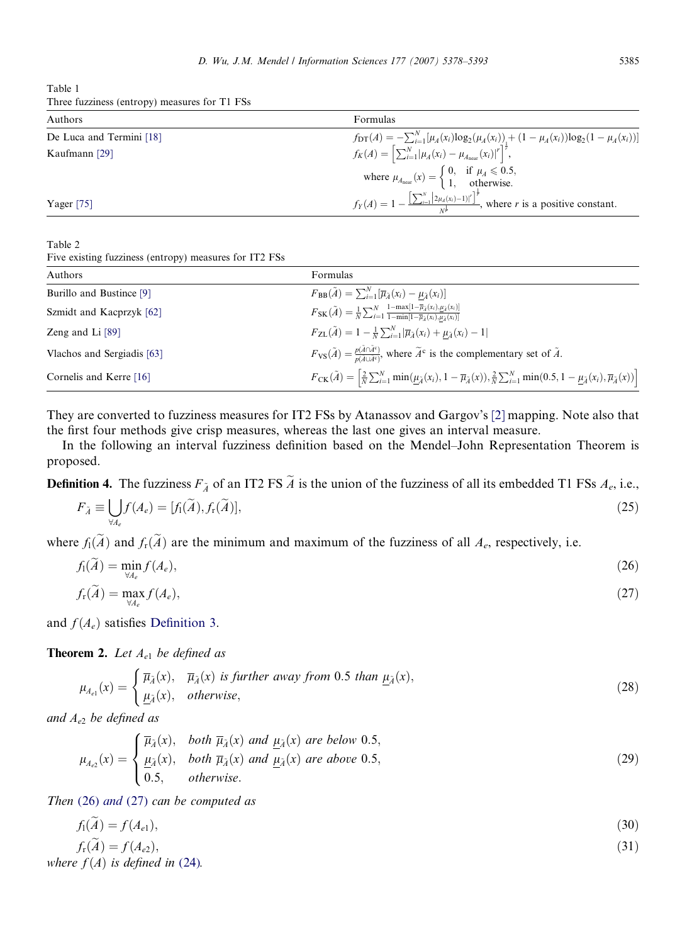<span id="page-7-0"></span>Table 1 Three fuzziness (entropy) measures for T1 FSs

| Authors                  | Formulas                                                                                                                               |
|--------------------------|----------------------------------------------------------------------------------------------------------------------------------------|
| De Luca and Termini [18] | $f_{\text{DT}}(A) = -\sum_{i=1}^{N} [\mu_A(x_i) \log_2(\mu_A(x_i))_1 + (1 - \mu_A(x_i)) \log_2(1 - \mu_A(x_i))]$                       |
| Kaufmann [29]            | $f_K(A) = \left[ \sum_{i=1}^N  \mu_A(x_i) - \mu_{A_{\text{near}}}(x_i) ^r \right]^{\frac{1}{r}},$                                      |
|                          | where $\mu_{A_{\text{near}}}(x) = \begin{cases} 0, & \text{if } \mu_A \leq 0.5, \\ 1, & \text{otherwise.} \end{cases}$                 |
| Yager $[75]$             | $f_Y(A) = 1 - \frac{\left[\sum_{i=1}^{N}  2\mu_A(x_i)-1 ^r\right]^{\frac{1}{r}}}{\mu^{\frac{1}{r}}}$ , where r is a positive constant. |

Table 2

Five existing fuzziness (entropy) measures for IT2 FSs

| Authors                    | Formulas                                                                                                                                                                                                                            |
|----------------------------|-------------------------------------------------------------------------------------------------------------------------------------------------------------------------------------------------------------------------------------|
| Burillo and Bustince [9]   | $F_{BB}(\tilde{A}) = \sum_{i=1}^{N} [\overline{\mu}_{\tilde{A}}(x_i) - \mu_{\tilde{A}}(x_i)]$                                                                                                                                       |
| Szmidt and Kacprzyk [62]   | $F_{\rm SK}(\tilde{A}) = \frac{1}{N} \sum_{i=1}^{N} \frac{1 - \max[1 - \overline{\mu}_{\tilde{A}}(x_i), \underline{\mu}_{\tilde{A}}(x_i)]}{1 - \min[1 - \overline{\mu}_{\tilde{A}}(x_i), \overline{\mu}_{\tilde{A}}(x_i)]}$         |
| Zeng and Li [89]           | $F_{ZL}(\tilde{A}) = 1 - \frac{1}{N} \sum_{i=1}^{N}  \overline{\mu}_{\tilde{A}}(x_i) + \mu_{\tilde{A}}(x_i) - 1 $                                                                                                                   |
| Vlachos and Sergiadis [63] | $F_{\text{VS}}(\tilde{A}) = \frac{p(\tilde{A}\cap \tilde{A}^c)}{p(\tilde{A} \cup \tilde{A}^c)}$ , where $\tilde{A}^c$ is the complementary set of $\tilde{A}$ .                                                                     |
| Cornelis and Kerre [16]    | $F_{\text{CK}}(\tilde{A}) = \left[ \frac{2}{N} \sum_{i=1}^{N} \min(\mu_{\tilde{A}}(x_i), 1 - \overline{\mu}_{\tilde{A}}(x)), \frac{2}{N} \sum_{i=1}^{N} \min(0.5, 1 - \mu_{\tilde{A}}(x_i), \overline{\mu}_{\tilde{A}}(x)) \right]$ |

They are converted to fuzziness measures for IT2 FSs by Atanassov and Gargov's [\[2\]](#page-13-0) mapping. Note also that the first four methods give crisp measures, whereas the last one gives an interval measure.

In the following an interval fuzziness definition based on the Mendel–John Representation Theorem is proposed.

**Definition 4.** The fuzziness  $F_{\tilde{A}}$  of an IT2 FS  $\tilde{A}$  is the union of the fuzziness of all its embedded T1 FSs  $A_e$ , i.e.,

$$
F_{\tilde{A}} \equiv \bigcup_{\forall A_e} f(A_e) = [f_1(\tilde{A}), f_r(\tilde{A})],\tag{25}
$$

where  $f_1(\tilde{A})$  and  $f_r(\tilde{A})$  are the minimum and maximum of the fuzziness of all  $A_e$ , respectively, i.e.

$$
f_1(\tilde{A}) = \min_{\forall A_e} f(A_e),
$$
  
\n
$$
f_r(\tilde{A}) = \max_{\forall A_e} f(A_e),
$$
\n(27)

and  $f(A_e)$  satisfies [Definition 3.](#page-6-0)

**Theorem 2.** Let  $A_{e1}$  be defined as

$$
\mu_{A_{e1}}(x) = \begin{cases} \overline{\mu}_{\tilde{A}}(x), & \overline{\mu}_{\tilde{A}}(x) \text{ is further away from 0.5 than } \underline{\mu}_{\tilde{A}}(x), \\ \underline{\mu}_{\tilde{A}}(x), & otherwise, \end{cases}
$$
 (28)

and  $A_{e2}$  be defined as

$$
\mu_{A_{e2}}(x) = \begin{cases} \overline{\mu}_{\lambda}(x), & both \overline{\mu}_{\lambda}(x) \text{ and } \underline{\mu}_{\lambda}(x) \text{ are below 0.5,} \\ \frac{\mu_{\lambda}}{0.5, & both \overline{\mu}_{\lambda}(x) \text{ and } \underline{\mu}_{\lambda}(x) \text{ are above 0.5,} \end{cases}
$$
(29)

Then (26) and (27) can be computed as

$$
f_1(A) = f(A_{e1}),\tag{30}
$$

$$
f_{\rm r}(A) = f(A_{e2}),
$$
  
where  $f(A)$  is defined in (24). (31)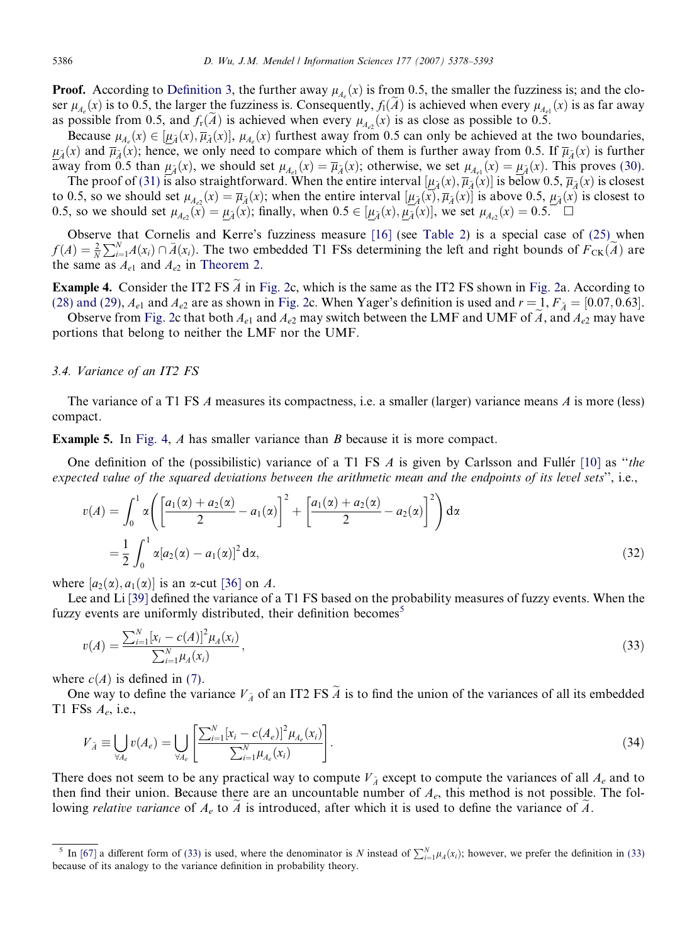<span id="page-8-0"></span>**Proof.** According to [Definition 3](#page-6-0), the further away  $\mu_{A_e}(x)$  is from 0.5, the smaller the fuzziness is; and the closer  $\mu_{A_e}(x)$  is to 0.5, the larger the fuzziness is. Consequently,  $f_1(A)$  is achieved when every  $\mu_{A_{e1}}(x)$  is as far away as possible from 0.5, and  $f_{r}(A)$  is achieved when every  $\mu_{A_{e2}}(x)$  is as close as possible to 0.5.

Because  $\mu_{A_e}(x) \in [\underline{\mu}_{\tilde{A}}(x), \overline{\mu}_{\tilde{A}}(x)]$ ,  $\mu_{A_e}(x)$  furthest away from 0.5 can only be achieved at the two boundaries,  $\mu_{\tilde{\lambda}}(x)$  and  $\bar{\mu}_{\tilde{\lambda}}(x)$ ; hence, we only need to compare which of them is further away from 0.5. If  $\bar{\mu}_{\tilde{\lambda}}(x)$  is further away from 0.5 than  $\underline{\mu}_{\tilde{A}}(x)$ , we should set  $\mu_{A_{e1}}(x) = \overline{\mu}_{\tilde{A}}(x)$ ; otherwise, we set  $\mu_{A_{e1}}(x) = \mu_{\tilde{A}}(x)$ . This proves [\(30\).](#page-7-0)

The proof of (31) is also straightforward. When the entire interval  $[\mu_{\tilde{A}}(x), \overline{\mu}_{\tilde{A}}(x)]$  is below 0.5,  $\overline{\mu}_{\tilde{A}}(x)$  is closest to 0.5, so we should set  $\mu_{A_{e2}}(x) = \overline{\mu}_{\tilde{A}}(x)$ ; when the entire interval  $[\mu_{\tilde{A}}(x), \overline{\mu}_{\tilde{A}}(x)]$  is above 0.5,  $\mu_{\tilde{A}}(x)$  is closest to 0.5, so we should set  $\mu_{A_{e2}}(\mathbf{x}) = \mu_{\tilde{A}}(\mathbf{x})$ ; finally, when  $0.5 \in [\mu_{\tilde{A}}(\mathbf{x}), \mu_{\tilde{A}}(\mathbf{x})]$ , we set  $\mu_{A_{e2}}(\mathbf{x}) = 0.5$ .

Observe that Cornelis and Kerre's fuzziness measure [\[16\]](#page-13-0) (see [Table 2\)](#page-7-0) is a special case of [\(25\)](#page-7-0) when  $f(A) = \frac{2}{N} \sum_{i=1}^{N} A(x_i) \cap \overline{A}(x_i)$ . The two embedded T1 FSs determining the left and right bounds of  $F_{CK}(\tilde{A})$  are the same as  $A_{e1}$  and  $A_{e2}$  in [Theorem 2](#page-7-0).

Example 4. Consider the IT2 FS  $\tilde{A}$  in [Fig. 2c](#page-4-0), which is the same as the IT2 FS shown in [Fig. 2](#page-4-0)a. According to [\(28\) and \(29\),](#page-7-0)  $A_{e1}$  and  $A_{e2}$  are as shown in [Fig. 2](#page-4-0)c. When Yager's definition is used and  $r = 1, F_{\tilde{A}} = [0.07, 0.63]$ .

Observe from [Fig. 2c](#page-4-0) that both  $A_{e1}$  and  $A_{e2}$  may switch between the LMF and UMF of A, and  $A_{e2}$  may have portions that belong to neither the LMF nor the UMF.

#### 3.4. Variance of an IT2 FS

The variance of a T1 FS A measures its compactness, i.e. a smaller (larger) variance means A is more (less) compact.

Example 5. In [Fig. 4](#page-9-0), A has smaller variance than B because it is more compact.

One definition of the (possibilistic) variance of a T1 FS  $\Lambda$  is given by Carlsson and Fuller [\[10\]](#page-13-0) as "the expected value of the squared deviations between the arithmetic mean and the endpoints of its level sets'', i.e.,

$$
v(A) = \int_0^1 \alpha \left( \left[ \frac{a_1(\alpha) + a_2(\alpha)}{2} - a_1(\alpha) \right]^2 + \left[ \frac{a_1(\alpha) + a_2(\alpha)}{2} - a_2(\alpha) \right]^2 \right) d\alpha
$$
  
=  $\frac{1}{2} \int_0^1 \alpha [a_2(\alpha) - a_1(\alpha)]^2 d\alpha,$  (32)

where  $[a_2(\alpha), a_1(\alpha)]$  is an  $\alpha$ -cut [\[36\]](#page-14-0) on A.

Lee and Li [\[39\]](#page-14-0) defined the variance of a T1 FS based on the probability measures of fuzzy events. When the fuzzy events are uniformly distributed, their definition becomes<sup>5</sup>

$$
v(A) = \frac{\sum_{i=1}^{N} \left[x_i - c(A)\right]^2 \mu_A(x_i)}{\sum_{i=1}^{N} \mu_A(x_i)},
$$
\n(33)

where  $c(A)$  is defined in [\(7\).](#page-3-0)

One way to define the variance  $V_{\tilde{A}}$  of an IT2 FS  $\tilde{A}$  is to find the union of the variances of all its embedded T1 FSs  $A_e$ , i.e.,

$$
V_{\tilde{A}} \equiv \bigcup_{\forall A_e} v(A_e) = \bigcup_{\forall A_e} \left[ \frac{\sum_{i=1}^{N} [x_i - c(A_e)]^2 \mu_{A_e}(x_i)}{\sum_{i=1}^{N} \mu_{A_e}(x_i)} \right].
$$
\n(34)

There does not seem to be any practical way to compute  $V_{\tilde{A}}$  except to compute the variances of all  $A_e$  and to then find their union. Because there are an uncountable number of  $A<sub>e</sub>$ , this method is not possible. The following relative variance of  $A_e$  to A is introduced, after which it is used to define the variance of  $\ddot{A}$ .

<sup>&</sup>lt;sup>5</sup> In [\[67\]](#page-15-0) a different form of (33) is used, where the denominator is N instead of  $\sum_{i=1}^{N} \mu_A(x_i)$ ; however, we prefer the definition in (33) because of its analogy to the variance definition in probability theory.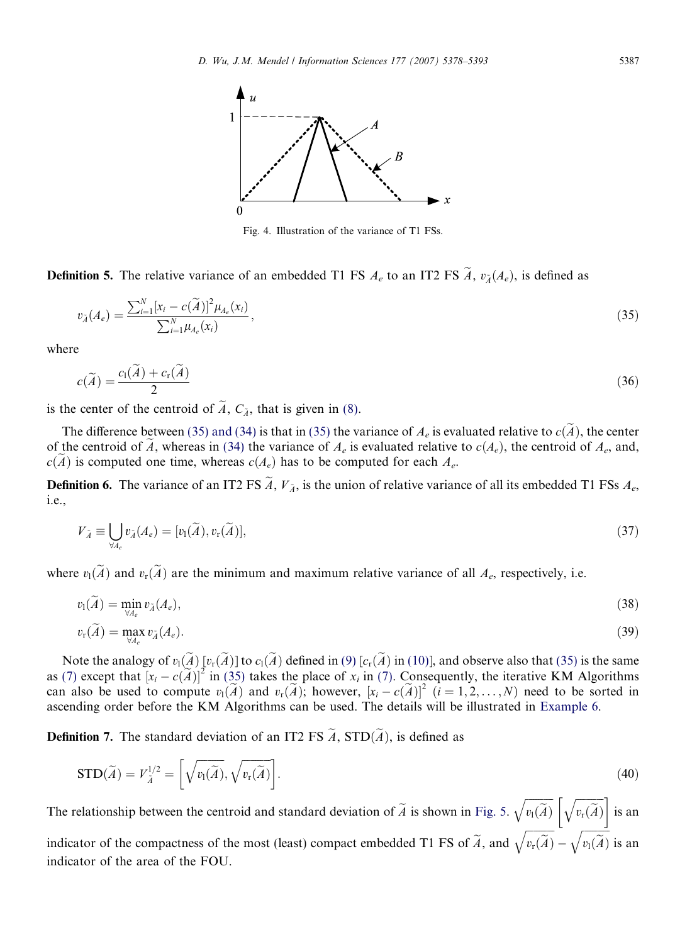<span id="page-9-0"></span>

Fig. 4. Illustration of the variance of T1 FSs.

**Definition 5.** The relative variance of an embedded T1 FS  $A_e$  to an IT2 FS  $\tilde{A}$ ,  $v_{\tilde{A}}(A_e)$ , is defined as

$$
v_{\tilde{A}}(A_e) = \frac{\sum_{i=1}^{N} [x_i - c(\tilde{A})]^2 \mu_{A_e}(x_i)}{\sum_{i=1}^{N} \mu_{A_e}(x_i)},
$$
\n(35)

where

$$
c(\widetilde{A}) = \frac{c_1(\widetilde{A}) + c_r(\widetilde{A})}{2} \tag{36}
$$

is the center of the centroid of  $\widetilde{A}$ ,  $C_{\widetilde{A}}$ , that is given in [\(8\).](#page-3-0)

The difference between (35) and (34) is that in (35) the variance of  $A_e$  is evaluated relative to  $c(\tilde{A})$ , the center of the centroid of  $\tilde{A}$ , whereas in [\(34\)](#page-8-0) the variance of  $A_e$  is evaluated relative to  $c(A_e)$ , the centroid of  $A_e$ , and,  $c(\widetilde{A})$  is computed one time, whereas  $c(A_e)$  has to be computed for each  $A_e$ .

**Definition 6.** The variance of an IT2 FS  $\tilde{A}$ ,  $V_{\tilde{A}}$ , is the union of relative variance of all its embedded T1 FSs  $A_e$ , i.e.,

$$
V_{\tilde{A}} \equiv \bigcup_{\forall A_e} v_{\tilde{A}}(A_e) = [v_1(\tilde{A}), v_r(\tilde{A})], \tag{37}
$$

where  $v_1(\tilde{A})$  and  $v_r(\tilde{A})$  are the minimum and maximum relative variance of all  $A_e$ , respectively, i.e.

$$
v_1(\widetilde{A}) = \min_{\forall A_e} v_{\widetilde{A}}(A_e),\tag{38}
$$

$$
v_{\rm r}(\widetilde{A}) = \max_{\forall A_e} v_{\widetilde{A}}(A_e). \tag{39}
$$

Note the analogy of  $v_1(\tilde{A})$  [ $v_r(\tilde{A})$ ] to  $c_1(\tilde{A})$  defined in [\(9\)](#page-3-0) [ $c_r(\tilde{A})$  in (10)], and observe also that (35) is the same as [\(7\)](#page-3-0) except that  $[x_i - c(\tilde{A})]^2$  in (35) takes the place of  $x_i$  in [\(7\).](#page-3-0) Consequently, the iterative KM Algorithms can also be used to compute  $v_1(\tilde{A})$  and  $v_r(\tilde{A})$ ; however,  $[x_i - c(\tilde{A})]^2$   $(i = 1, 2, ..., N)$  need to be sorted in ascending order before the KM Algorithms can be used. The details will be illustrated in [Example 6.](#page-10-0)

**Definition 7.** The standard deviation of an IT2 FS  $\widetilde{A}$ , STD $(\widetilde{A})$ , is defined as

$$
\text{STD}(\widetilde{A}) = V_{\widetilde{A}}^{1/2} = \left[ \sqrt{v_1(\widetilde{A})}, \sqrt{v_r(\widetilde{A})} \right].
$$
\n(40)

The relationship between the centroid and standard deviation of  $A$  is shown in [Fig. 5](#page-10-0).  $\frac{1}{\alpha}$  $v_1(A)$  $\sqrt{z}$  f  $\sqrt{z}$  $v_{\rm r}(A)$  $\lceil \sqrt{2} \rceil$ is an

indicator of the compactness of the most (least) compact embedded T1 FS of  $A$ , and  $\frac{1}{\alpha}$  $v_{\rm r}(A)$  $\overline{a}$  $\frac{1}{\sqrt{2}}$  $\frac{1}{\sim}$  $v_1(A)$  $\overline{a}$ is an indicator of the area of the FOU.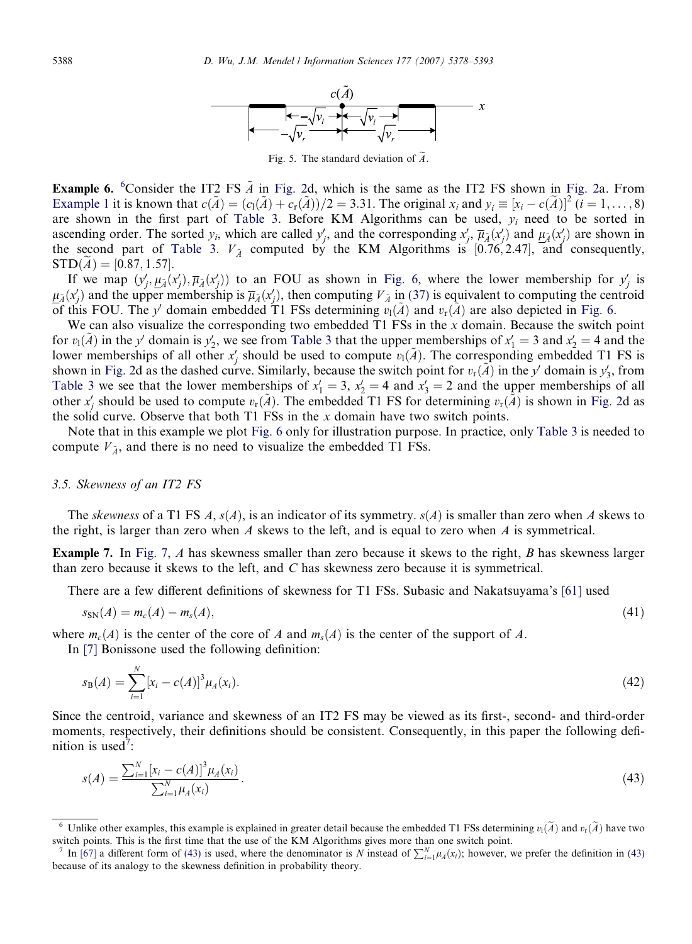

Fig. 5. The standard deviation of  $\widetilde{A}$ .

<span id="page-10-0"></span>**Example 6.** <sup>6</sup>Consider the IT2 FS  $\tilde{A}$  in [Fig. 2d](#page-4-0), which is the same as the IT2 FS shown in [Fig. 2a](#page-4-0). From [Example 1](#page-4-0) it is known that  $c(\tilde{A}) = (c_1(\tilde{A}) + c_r(\tilde{A}))/2 = 3.31$ . The original  $x_i$  and  $y_i \equiv [x_i - c(\tilde{A})]^2$   $(i = 1, ..., 8)$ are shown in the first part of [Table 3.](#page-11-0) Before KM Algorithms can be used,  $y_i$  need to be sorted in ascending order. The sorted  $y_i$ , which are called  $y'_j$ , and the corresponding  $x'_j$ ,  $\overline{\mu}_{\tilde{A}}(x'_j)$  and  $\underline{\mu}_{\tilde{A}}(x'_j)$  are shown in the second part of [Table 3](#page-11-0).  $V_{\tilde{A}}$  computed by the KM Algorithms is [0.76, 2.47], and consequently,  $STD(A) = [0.87, 1.57].$ 

If we map  $(y'_j, \mu_{\tilde{A}}(x'_j), \overline{\mu}_{\tilde{A}}(x'_j))$  to an FOU as shown in [Fig. 6,](#page-11-0) where the lower membership for  $y'_j$  is  $\mu_{\tilde{A}}(x'_j)$  and the upper membership is  $\overline{\mu}_{\tilde{A}}(x'_j)$ , then computing  $V_{\tilde{A}}$  in [\(37\)](#page-9-0) is equivalent to computing the centroid of this FOU. The y' domain embedded T1 FSs determining  $v_1(\tilde{A})$  and  $v_r(\tilde{A})$  are also depicted in [Fig. 6.](#page-11-0)

We can also visualize the corresponding two embedded  $T1$  FSs in the x domain. Because the switch point for  $v_1(\tilde{A})$  in the y' domain is  $y'_2$ , we see from [Table 3](#page-11-0) that the upper memberships of  $x'_1 = 3$  and  $x'_2 = 4$  and the lower memberships of all other  $x'_j$  should be used to compute  $v_l(\tilde{A})$ . The corresponding embedded T1 FS is shown in [Fig. 2d](#page-4-0) as the dashed curve. Similarly, because the switch point for  $v_r(\tilde{A})$  in the y' domain is  $y'_3$ , from [Table 3](#page-11-0) we see that the lower memberships of  $x'_1 = 3$ ,  $x'_2 = 4$  and  $x'_3 = 2$  and the upper memberships of all other  $x'_j$  should be used to compute  $v_r(\tilde{A})$ . The embedded T1 FS for determining  $v_r(\tilde{A})$  is shown in [Fig. 2](#page-4-0)d as the solid curve. Observe that both  $T1$  FSs in the x domain have two switch points.

Note that in this example we plot [Fig. 6](#page-11-0) only for illustration purpose. In practice, only [Table 3](#page-11-0) is needed to compute  $V_{\tilde{\lambda}}$ , and there is no need to visualize the embedded T1 FSs.

#### 3.5. Skewness of an IT2 FS

The skewness of a T1 FS A,  $s(A)$ , is an indicator of its symmetry.  $s(A)$  is smaller than zero when A skews to the right, is larger than zero when  $A$  skews to the left, and is equal to zero when  $A$  is symmetrical.

Example 7. In [Fig. 7,](#page-11-0) A has skewness smaller than zero because it skews to the right, B has skewness larger than zero because it skews to the left, and C has skewness zero because it is symmetrical.

There are a few different definitions of skewness for T1 FSs. Subasic and Nakatsuyama's [\[61\]](#page-15-0) used

$$
s_{\rm SN}(A) = m_c(A) - m_s(A),\tag{41}
$$

where  $m_c(A)$  is the center of the core of A and  $m_s(A)$  is the center of the support of A.

In [\[7\]](#page-13-0) Bonissone used the following definition:

$$
s_{\mathbf{B}}(A) = \sum_{i=1}^{N} [x_i - c(A)]^3 \mu_A(x_i).
$$
 (42)

Since the centroid, variance and skewness of an IT2 FS may be viewed as its first-, second- and third-order moments, respectively, their definitions should be consistent. Consequently, in this paper the following definition is used<sup>7</sup>:

$$
s(A) = \frac{\sum_{i=1}^{N} [x_i - c(A)]^3 \mu_A(x_i)}{\sum_{i=1}^{N} \mu_A(x_i)}.
$$
\n(43)

Unlike other examples, this example is explained in greater detail because the embedded T1 FSs determining  $v_l(\tilde{A})$  and  $v_r(\tilde{A})$  have two switch points. This is the first time that the use of the KM Algorithms gives more than one switch point.

<sup>&</sup>lt;sup>7</sup> In [\[67\]](#page-15-0) a different form of (43) is used, where the denominator is N instead of  $\sum_{i=1}^{N} \mu_A(x_i)$ ; however, we prefer the definition in (43) because of its analogy to the skewness definition in probability theory.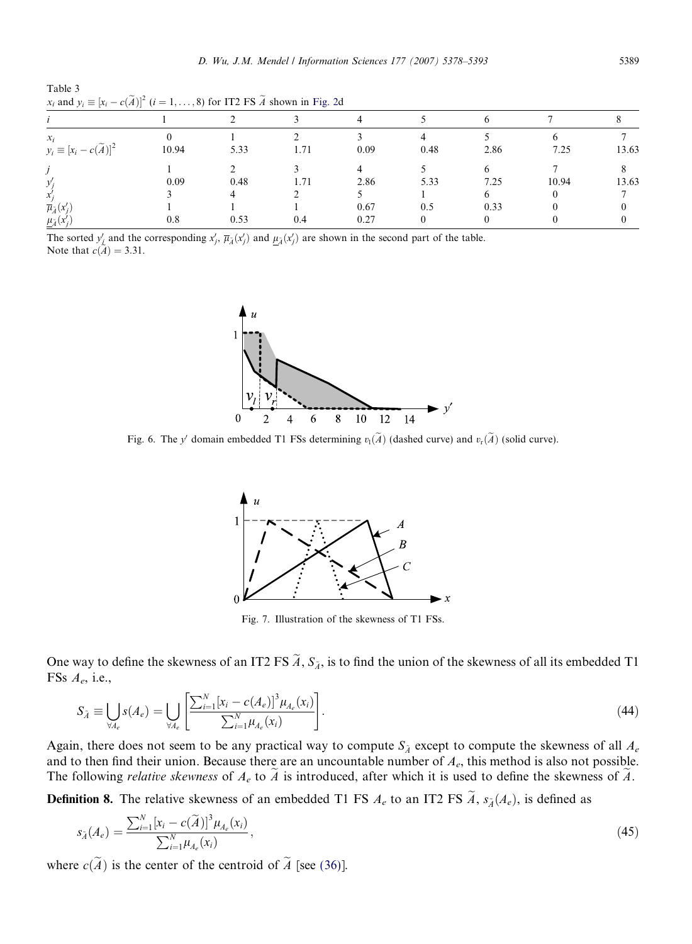<span id="page-11-0"></span>

| Table 3 |                                                                                                      |  |
|---------|------------------------------------------------------------------------------------------------------|--|
|         | $x_i$ and $y_i \equiv [x_i - c(\tilde{A})]^2$ $(i = 1, , 8)$ for IT2 FS $\tilde{A}$ shown in Fig. 2d |  |

| $x_i$                                   |          |      |      |      |      |      |       |       |
|-----------------------------------------|----------|------|------|------|------|------|-------|-------|
| $y_i \equiv [x_i - c(\widetilde{A})]^2$ | 10.94    | 5.33 | 1.71 | 0.09 | 0.48 | 2.86 | 7.25  | 13.63 |
|                                         |          |      |      |      |      |      |       |       |
|                                         | 0.09     | 0.48 | 1.71 | 2.86 | 5.33 | 7.25 | 10.94 | 13.63 |
| л.                                      |          |      |      |      |      | 6    |       |       |
| $\overline{\mu}_{\tilde{A}}(x_i')$      |          |      |      | 0.67 | 0.5  | 0.33 |       |       |
| $\mathcal{L}_{\tilde{A}}(x_j)$          | $_{0.8}$ | 0.53 | 0.4  | 0.27 |      |      |       |       |

The sorted  $y'_\nvert$  and the corresponding  $x'_j$ ,  $\overline{\mu}_{\tilde{A}}(x'_j)$  and  $\underline{\mu}_{\tilde{A}}(x'_j)$  are shown in the second part of the table. Note that  $c(\tilde{A}) = 3.31$ .



Fig. 6. The y' domain embedded T1 FSs determining  $v_1(\tilde{A})$  (dashed curve) and  $v_r(\tilde{A})$  (solid curve).



Fig. 7. Illustration of the skewness of T1 FSs.

One way to define the skewness of an IT2 FS  $\widetilde{A}$ ,  $S_{\widetilde{A}}$ , is to find the union of the skewness of all its embedded T1 FSs  $A_e$ , i.e.,

$$
S_{\tilde{A}} \equiv \bigcup_{\forall A_e} s(A_e) = \bigcup_{\forall A_e} \left[ \frac{\sum_{i=1}^N [x_i - c(A_e)]^3 \mu_{A_e}(x_i)}{\sum_{i=1}^N \mu_{A_e}(x_i)} \right].
$$
\n(44)

Again, there does not seem to be any practical way to compute  $S_{\lambda}$  except to compute the skewness of all  $A_e$ and to then find their union. Because there are an uncountable number of  $A_e$ , this method is also not possible. The following *relative skewness* of  $A_e$  to  $\tilde{A}$  is introduced, after which it is used to define the skewness of  $\tilde{A}$ .

**Definition 8.** The relative skewness of an embedded T1 FS  $A_e$  to an IT2 FS  $\tilde{A}$ ,  $s_{\tilde{A}}(A_e)$ , is defined as

$$
s_{\tilde{A}}(A_e) = \frac{\sum_{i=1}^{N} [x_i - c(\tilde{A})]^3 \mu_{A_e}(x_i)}{\sum_{i=1}^{N} \mu_{A_e}(x_i)},
$$
\n(45)

where  $c(\widetilde{A})$  is the center of the centroid of  $\widetilde{A}$  [see [\(36\)\]](#page-9-0).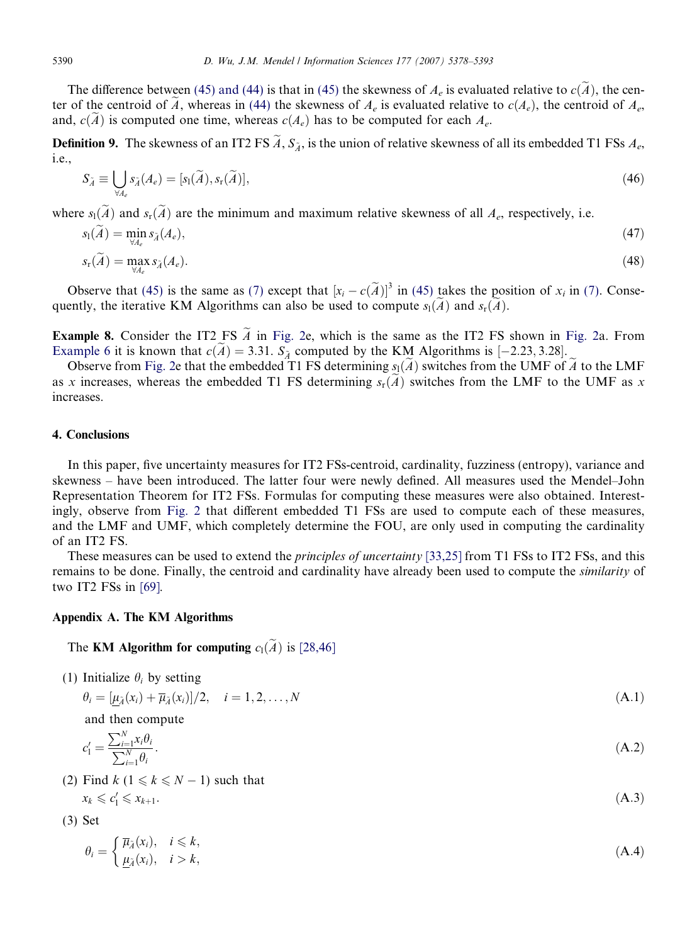<span id="page-12-0"></span>The difference between [\(45\) and \(44\)](#page-11-0) is that in [\(45\)](#page-11-0) the skewness of  $A_e$  is evaluated relative to  $c(\tilde{A})$ , the center of the centroid of  $\tilde{A}$ , whereas in [\(44\)](#page-11-0) the skewness of  $A_e$  is evaluated relative to  $c(A_e)$ , the centroid of  $A_e$ , and,  $c(\tilde{A})$  is computed one time, whereas  $c(A_e)$  has to be computed for each  $A_e$ .

**Definition 9.** The skewness of an IT2 FS  $\tilde{A}$ ,  $S_{\tilde{A}}$ , is the union of relative skewness of all its embedded T1 FSs  $A_e$ , i.e.,

$$
S_{\tilde{A}} \equiv \bigcup_{\forall A_e} s_{\tilde{A}}(A_e) = [s_1(\tilde{A}), s_r(\tilde{A})], \tag{46}
$$

where  $s_1(\tilde{A})$  and  $s_r(\tilde{A})$  are the minimum and maximum relative skewness of all  $A_e$ , respectively, i.e.

$$
s_1(A) = \min_{\forall A_e} s_{\tilde{A}}(A_e),
$$
  
\n
$$
s_r(\tilde{A}) = \max_{\forall A_e} s_{\tilde{A}}(A_e).
$$
\n(48)

Observe that [\(45\)](#page-11-0) is the same as [\(7\)](#page-3-0) except that  $[x_i - c(\tilde{A})]^3$  in (45) takes the position of  $x_i$  in [\(7\).](#page-3-0) Consequently, the iterative KM Algorithms can also be used to compute  $s_1(\tilde{A})$  and  $s_r(\tilde{A})$ .

**Example 8.** Consider the IT2 FS  $\tilde{A}$  in [Fig. 2e](#page-4-0), which is the same as the IT2 FS shown in [Fig. 2](#page-4-0)a. From [Example 6](#page-10-0) it is known that  $c(A) = 3.31$ .  $S_{\tilde{A}}$  computed by the KM Algorithms is  $[-2.23, 3.28]$ .

Observe from [Fig. 2](#page-4-0)e that the embedded T1 FS determining  $s<sub>1</sub>(A)$  switches from the UMF of A to the LMF as x increases, whereas the embedded T1 FS determining  $s_r(\tilde{A})$  switches from the LMF to the UMF as x increases.

#### 4. Conclusions

In this paper, five uncertainty measures for IT2 FSs-centroid, cardinality, fuzziness (entropy), variance and skewness – have been introduced. The latter four were newly defined. All measures used the Mendel–John Representation Theorem for IT2 FSs. Formulas for computing these measures were also obtained. Interestingly, observe from [Fig. 2](#page-4-0) that different embedded T1 FSs are used to compute each of these measures, and the LMF and UMF, which completely determine the FOU, are only used in computing the cardinality of an IT2 FS.

These measures can be used to extend the *principles of uncertainty* [\[33,25\]](#page-14-0) from T1 FSs to IT2 FSs, and this remains to be done. Finally, the centroid and cardinality have already been used to compute the similarity of two IT2 FSs in [\[69\].](#page-15-0)

#### Appendix A. The KM Algorithms

### The KM Algorithm for computing  $c_1(\tilde{A})$  is [\[28,46\]](#page-14-0)

(1) Initialize  $\theta_i$  by setting

$$
\theta_i = \left[\underline{\mu}_{\tilde{A}}(x_i) + \overline{\mu}_{\tilde{A}}(x_i)\right]/2, \quad i = 1, 2, \dots, N
$$
\n(A.1)

and then compute

$$
c_1' = \frac{\sum_{i=1}^{N} x_i \theta_i}{\sum_{i=1}^{N} \theta_i}.
$$
\n(A.2)

(2) Find  $k$  (1  $\le k \le N - 1$ ) such that

 $x_k \leqslant c'_1 \leqslant x_{k+1}.$ 

- $l'_{1} \leq x_{k+1}.$  (A.3)
- (3) Set

$$
\theta_i = \begin{cases} \overline{\mu}_{\tilde{A}}(x_i), & i \leq k, \\ \underline{\mu}_{\tilde{A}}(x_i), & i > k, \end{cases}
$$
 (A.4)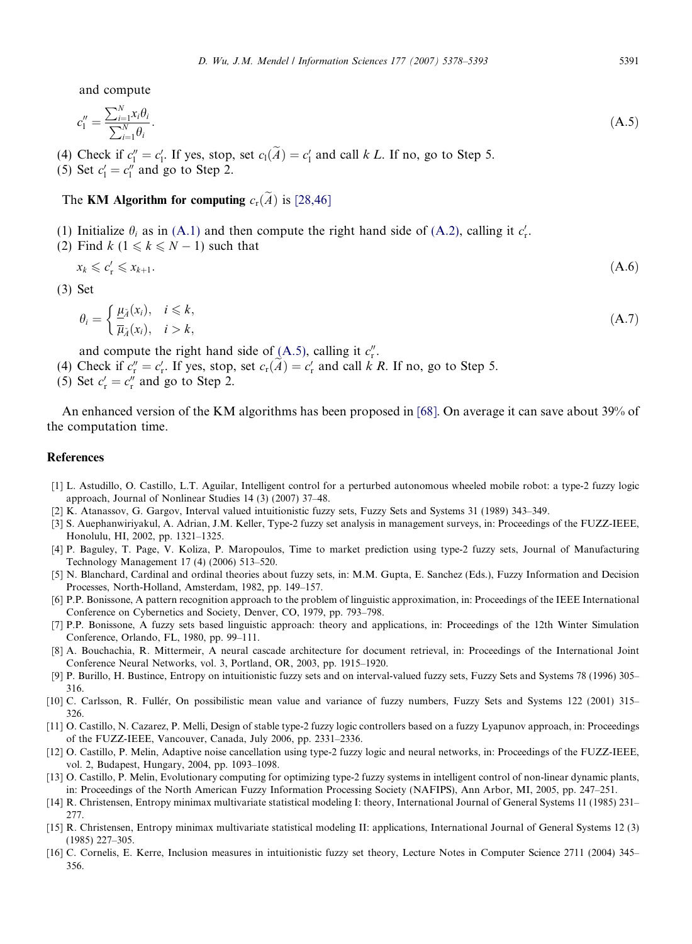<span id="page-13-0"></span>and compute

$$
c_1'' = \frac{\sum_{i=1}^N x_i \theta_i}{\sum_{i=1}^N \theta_i}.
$$
\n(A.5)

(4) Check if  $c''_1 = c'_1$ . If yes, stop, set  $c_1(A) = c'_1$  and call k L. If no, go to Step 5.

(5) Set  $c'_1 = c''_1$  and go to Step 2.

## The KM Algorithm for computing  $c_r(\widetilde{A})$  is [\[28,46\]](#page-14-0)

(1) Initialize  $\theta_i$  as in [\(A.1\)](#page-12-0) and then compute the right hand side of [\(A.2\),](#page-12-0) calling it  $c'_r$ .

(2) Find  $k$  ( $1 \le k \le N - 1$ ) such that

$$
x_k \leqslant c'_r \leqslant x_{k+1}.\tag{A.6}
$$

(3) Set

$$
\theta_i = \begin{cases} \frac{\mu_{\tilde{\lambda}}(x_i), & i \le k, \\ \overline{\mu}_{\tilde{\lambda}}(x_i), & i > k, \end{cases}
$$
 (A.7)

and compute the right hand side of  $(A.5)$ , calling it  $c''_r$ .

(4) Check if  $c''_r = c'_r$ . If yes, stop, set  $c_r(A) = c'_r$  and call k R. If no, go to Step 5.

(5) Set  $c'_{r} = c''_{r}$  and go to Step 2.

An enhanced version of the KM algorithms has been proposed in [\[68\].](#page-15-0) On average it can save about 39% of the computation time.

#### References

- [1] L. Astudillo, O. Castillo, L.T. Aguilar, Intelligent control for a perturbed autonomous wheeled mobile robot: a type-2 fuzzy logic approach, Journal of Nonlinear Studies 14 (3) (2007) 37–48.
- [2] K. Atanassov, G. Gargov, Interval valued intuitionistic fuzzy sets, Fuzzy Sets and Systems 31 (1989) 343–349.
- [3] S. Auephanwiriyakul, A. Adrian, J.M. Keller, Type-2 fuzzy set analysis in management surveys, in: Proceedings of the FUZZ-IEEE, Honolulu, HI, 2002, pp. 1321–1325.
- [4] P. Baguley, T. Page, V. Koliza, P. Maropoulos, Time to market prediction using type-2 fuzzy sets, Journal of Manufacturing Technology Management 17 (4) (2006) 513–520.
- [5] N. Blanchard, Cardinal and ordinal theories about fuzzy sets, in: M.M. Gupta, E. Sanchez (Eds.), Fuzzy Information and Decision Processes, North-Holland, Amsterdam, 1982, pp. 149–157.
- [6] P.P. Bonissone, A pattern recognition approach to the problem of linguistic approximation, in: Proceedings of the IEEE International Conference on Cybernetics and Society, Denver, CO, 1979, pp. 793–798.
- [7] P.P. Bonissone, A fuzzy sets based linguistic approach: theory and applications, in: Proceedings of the 12th Winter Simulation Conference, Orlando, FL, 1980, pp. 99–111.
- [8] A. Bouchachia, R. Mittermeir, A neural cascade architecture for document retrieval, in: Proceedings of the International Joint Conference Neural Networks, vol. 3, Portland, OR, 2003, pp. 1915–1920.
- [9] P. Burillo, H. Bustince, Entropy on intuitionistic fuzzy sets and on interval-valued fuzzy sets, Fuzzy Sets and Systems 78 (1996) 305– 316.
- [10] C. Carlsson, R. Fullér, On possibilistic mean value and variance of fuzzy numbers, Fuzzy Sets and Systems 122 (2001) 315– 326.
- [11] O. Castillo, N. Cazarez, P. Melli, Design of stable type-2 fuzzy logic controllers based on a fuzzy Lyapunov approach, in: Proceedings of the FUZZ-IEEE, Vancouver, Canada, July 2006, pp. 2331–2336.
- [12] O. Castillo, P. Melin, Adaptive noise cancellation using type-2 fuzzy logic and neural networks, in: Proceedings of the FUZZ-IEEE, vol. 2, Budapest, Hungary, 2004, pp. 1093–1098.
- [13] O. Castillo, P. Melin, Evolutionary computing for optimizing type-2 fuzzy systems in intelligent control of non-linear dynamic plants, in: Proceedings of the North American Fuzzy Information Processing Society (NAFIPS), Ann Arbor, MI, 2005, pp. 247–251.
- [14] R. Christensen, Entropy minimax multivariate statistical modeling I: theory, International Journal of General Systems 11 (1985) 231– 277.
- [15] R. Christensen, Entropy minimax multivariate statistical modeling II: applications, International Journal of General Systems 12 (3) (1985) 227–305.
- [16] C. Cornelis, E. Kerre, Inclusion measures in intuitionistic fuzzy set theory, Lecture Notes in Computer Science 2711 (2004) 345– 356.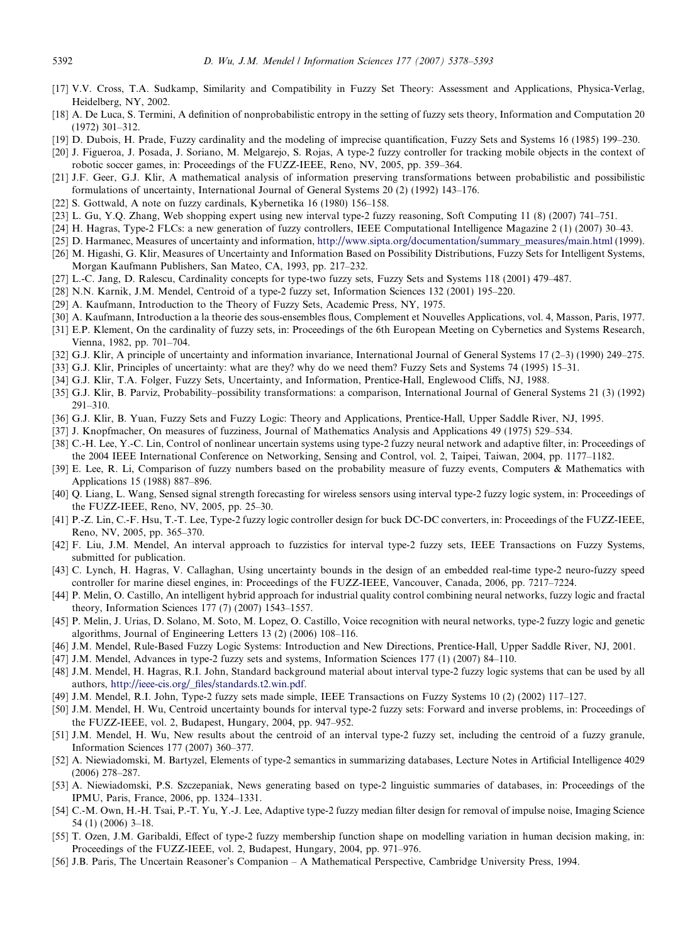- <span id="page-14-0"></span>[17] V.V. Cross, T.A. Sudkamp, Similarity and Compatibility in Fuzzy Set Theory: Assessment and Applications, Physica-Verlag, Heidelberg, NY, 2002.
- [18] A. De Luca, S. Termini, A definition of nonprobabilistic entropy in the setting of fuzzy sets theory, Information and Computation 20 (1972) 301–312.
- [19] D. Dubois, H. Prade, Fuzzy cardinality and the modeling of imprecise quantification, Fuzzy Sets and Systems 16 (1985) 199–230.
- [20] J. Figueroa, J. Posada, J. Soriano, M. Melgarejo, S. Rojas, A type-2 fuzzy controller for tracking mobile objects in the context of robotic soccer games, in: Proceedings of the FUZZ-IEEE, Reno, NV, 2005, pp. 359–364.
- [21] J.F. Geer, G.J. Klir, A mathematical analysis of information preserving transformations between probabilistic and possibilistic formulations of uncertainty, International Journal of General Systems 20 (2) (1992) 143–176.
- [22] S. Gottwald, A note on fuzzy cardinals, Kybernetika 16 (1980) 156–158.
- [23] L. Gu, Y.Q. Zhang, Web shopping expert using new interval type-2 fuzzy reasoning, Soft Computing 11 (8) (2007) 741–751.
- [24] H. Hagras, Type-2 FLCs: a new generation of fuzzy controllers, IEEE Computational Intelligence Magazine 2 (1) (2007) 30–43.
- [25] D. Harmanec, Measures of uncertainty and information, [http://www.sipta.org/documentation/summary\\_measures/main.html](http://www.sipta.org/documentation/summary_measures/main.html) (1999).
- [26] M. Higashi, G. Klir, Measures of Uncertainty and Information Based on Possibility Distributions, Fuzzy Sets for Intelligent Systems, Morgan Kaufmann Publishers, San Mateo, CA, 1993, pp. 217–232.
- [27] L.-C. Jang, D. Ralescu, Cardinality concepts for type-two fuzzy sets, Fuzzy Sets and Systems 118 (2001) 479–487.
- [28] N.N. Karnik, J.M. Mendel, Centroid of a type-2 fuzzy set, Information Sciences 132 (2001) 195–220.
- [29] A. Kaufmann, Introduction to the Theory of Fuzzy Sets, Academic Press, NY, 1975.
- [30] A. Kaufmann, Introduction a la theorie des sous-ensembles flous, Complement et Nouvelles Applications, vol. 4, Masson, Paris, 1977.
- [31] E.P. Klement, On the cardinality of fuzzy sets, in: Proceedings of the 6th European Meeting on Cybernetics and Systems Research, Vienna, 1982, pp. 701–704.
- [32] G.J. Klir, A principle of uncertainty and information invariance, International Journal of General Systems 17 (2–3) (1990) 249–275.
- [33] G.J. Klir, Principles of uncertainty: what are they? why do we need them? Fuzzy Sets and Systems 74 (1995) 15–31.
- [34] G.J. Klir, T.A. Folger, Fuzzy Sets, Uncertainty, and Information, Prentice-Hall, Englewood Cliffs, NJ, 1988.
- [35] G.J. Klir, B. Parviz, Probability–possibility transformations: a comparison, International Journal of General Systems 21 (3) (1992) 291–310.
- [36] G.J. Klir, B. Yuan, Fuzzy Sets and Fuzzy Logic: Theory and Applications, Prentice-Hall, Upper Saddle River, NJ, 1995.
- [37] J. Knopfmacher, On measures of fuzziness, Journal of Mathematics Analysis and Applications 49 (1975) 529–534.
- [38] C.-H. Lee, Y.-C. Lin, Control of nonlinear uncertain systems using type-2 fuzzy neural network and adaptive filter, in: Proceedings of the 2004 IEEE International Conference on Networking, Sensing and Control, vol. 2, Taipei, Taiwan, 2004, pp. 1177–1182.
- [39] E. Lee, R. Li, Comparison of fuzzy numbers based on the probability measure of fuzzy events, Computers & Mathematics with Applications 15 (1988) 887–896.
- [40] Q. Liang, L. Wang, Sensed signal strength forecasting for wireless sensors using interval type-2 fuzzy logic system, in: Proceedings of the FUZZ-IEEE, Reno, NV, 2005, pp. 25–30.
- [41] P.-Z. Lin, C.-F. Hsu, T.-T. Lee, Type-2 fuzzy logic controller design for buck DC-DC converters, in: Proceedings of the FUZZ-IEEE, Reno, NV, 2005, pp. 365–370.
- [42] F. Liu, J.M. Mendel, An interval approach to fuzzistics for interval type-2 fuzzy sets, IEEE Transactions on Fuzzy Systems, submitted for publication.
- [43] C. Lynch, H. Hagras, V. Callaghan, Using uncertainty bounds in the design of an embedded real-time type-2 neuro-fuzzy speed controller for marine diesel engines, in: Proceedings of the FUZZ-IEEE, Vancouver, Canada, 2006, pp. 7217–7224.
- [44] P. Melin, O. Castillo, An intelligent hybrid approach for industrial quality control combining neural networks, fuzzy logic and fractal theory, Information Sciences 177 (7) (2007) 1543–1557.
- [45] P. Melin, J. Urias, D. Solano, M. Soto, M. Lopez, O. Castillo, Voice recognition with neural networks, type-2 fuzzy logic and genetic algorithms, Journal of Engineering Letters 13 (2) (2006) 108–116.
- [46] J.M. Mendel, Rule-Based Fuzzy Logic Systems: Introduction and New Directions, Prentice-Hall, Upper Saddle River, NJ, 2001.
- [47] J.M. Mendel, Advances in type-2 fuzzy sets and systems, Information Sciences 177 (1) (2007) 84–110.
- [48] J.M. Mendel, H. Hagras, R.I. John, Standard background material about interval type-2 fuzzy logic systems that can be used by all authors, [http://ieee-cis.org/\\_files/standards.t2.win.pdf](http://ieee-cis.org/_files/standards.t2.win.pdf).
- [49] J.M. Mendel, R.I. John, Type-2 fuzzy sets made simple, IEEE Transactions on Fuzzy Systems 10 (2) (2002) 117–127.
- [50] J.M. Mendel, H. Wu, Centroid uncertainty bounds for interval type-2 fuzzy sets: Forward and inverse problems, in: Proceedings of the FUZZ-IEEE, vol. 2, Budapest, Hungary, 2004, pp. 947–952.
- [51] J.M. Mendel, H. Wu, New results about the centroid of an interval type-2 fuzzy set, including the centroid of a fuzzy granule, Information Sciences 177 (2007) 360–377.
- [52] A. Niewiadomski, M. Bartyzel, Elements of type-2 semantics in summarizing databases, Lecture Notes in Artificial Intelligence 4029 (2006) 278–287.
- [53] A. Niewiadomski, P.S. Szczepaniak, News generating based on type-2 linguistic summaries of databases, in: Proceedings of the IPMU, Paris, France, 2006, pp. 1324–1331.
- [54] C.-M. Own, H.-H. Tsai, P.-T. Yu, Y.-J. Lee, Adaptive type-2 fuzzy median filter design for removal of impulse noise, Imaging Science 54 (1) (2006) 3–18.
- [55] T. Ozen, J.M. Garibaldi, Effect of type-2 fuzzy membership function shape on modelling variation in human decision making, in: Proceedings of the FUZZ-IEEE, vol. 2, Budapest, Hungary, 2004, pp. 971–976.
- [56] J.B. Paris, The Uncertain Reasoner's Companion A Mathematical Perspective, Cambridge University Press, 1994.